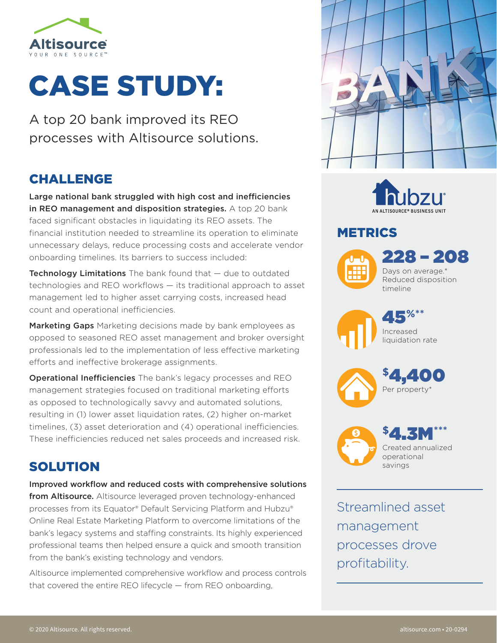

# CASE STUDY:

A top 20 bank improved its REO processes with Altisource solutions.

# CHALLENGE

Large national bank struggled with high cost and inefficiencies in REO management and disposition strategies. A top 20 bank faced significant obstacles in liquidating its REO assets. The financial institution needed to streamline its operation to eliminate unnecessary delays, reduce processing costs and accelerate vendor onboarding timelines. Its barriers to success included:

**Technology Limitations** The bank found that  $-$  due to outdated technologies and REO workflows — its traditional approach to asset management led to higher asset carrying costs, increased head count and operational inefficiencies.

Marketing Gaps Marketing decisions made by bank employees as opposed to seasoned REO asset management and broker oversight professionals led to the implementation of less effective marketing efforts and ineffective brokerage assignments.

Operational Inefficiencies The bank's legacy processes and REO management strategies focused on traditional marketing efforts as opposed to technologically savvy and automated solutions, resulting in (1) lower asset liquidation rates, (2) higher on-market timelines, (3) asset deterioration and (4) operational inefficiencies. These inefficiencies reduced net sales proceeds and increased risk.

# SOLUTION

Improved workflow and reduced costs with comprehensive solutions from Altisource. Altisource leveraged proven technology-enhanced processes from its Equator® Default Servicing Platform and Hubzu® Online Real Estate Marketing Platform to overcome limitations of the bank's legacy systems and staffing constraints. Its highly experienced professional teams then helped ensure a quick and smooth transition from the bank's existing technology and vendors.

Altisource implemented comprehensive workflow and process controls that covered the entire REO lifecycle — from REO onboarding,





## METRICS



228 – 208 Days on average.\* Reduced disposition timeline

45**%\*\*** Increased

liquidation rate





Streamlined asset management processes drove profitability.